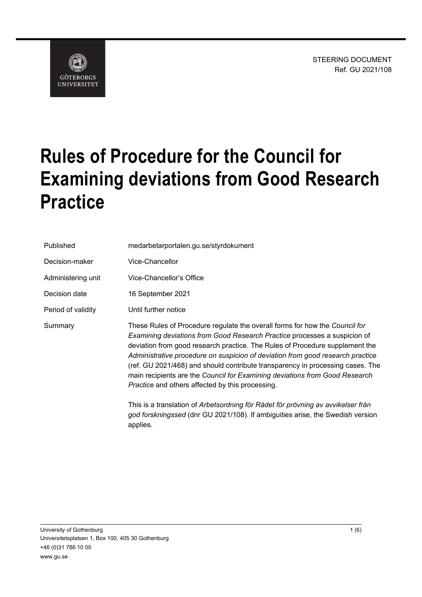STEERING DOCUMENT Ref. GU 2021/108



# **Rules of Procedure for the Council for Examining deviations from Good Research Practice**

| Published          | medarbetarportalen.gu.se/styrdokument                                                                                                                                                                                                                                                                                                                                                                                                                                                                                                                  |
|--------------------|--------------------------------------------------------------------------------------------------------------------------------------------------------------------------------------------------------------------------------------------------------------------------------------------------------------------------------------------------------------------------------------------------------------------------------------------------------------------------------------------------------------------------------------------------------|
| Decision-maker     | Vice-Chancellor                                                                                                                                                                                                                                                                                                                                                                                                                                                                                                                                        |
| Administering unit | Vice-Chancellor's Office                                                                                                                                                                                                                                                                                                                                                                                                                                                                                                                               |
| Decision date      | 16 September 2021                                                                                                                                                                                                                                                                                                                                                                                                                                                                                                                                      |
| Period of validity | Until further notice                                                                                                                                                                                                                                                                                                                                                                                                                                                                                                                                   |
| Summary            | These Rules of Procedure regulate the overall forms for how the Council for<br>Examining deviations from Good Research Practice processes a suspicion of<br>deviation from good research practice. The Rules of Procedure supplement the<br>Administrative procedure on suspicion of deviation from good research practice<br>(ref. GU 2021/468) and should contribute transparency in processing cases. The<br>main recipients are the Council for Examining deviations from Good Research<br><i>Practice</i> and others affected by this processing. |
|                    | This is a translation of Arbetsordning för Rådet för prövning av avvikelser från<br>god forskningssed (dnr GU 2021/108). If ambiguities arise, the Swedish version<br>applies.                                                                                                                                                                                                                                                                                                                                                                         |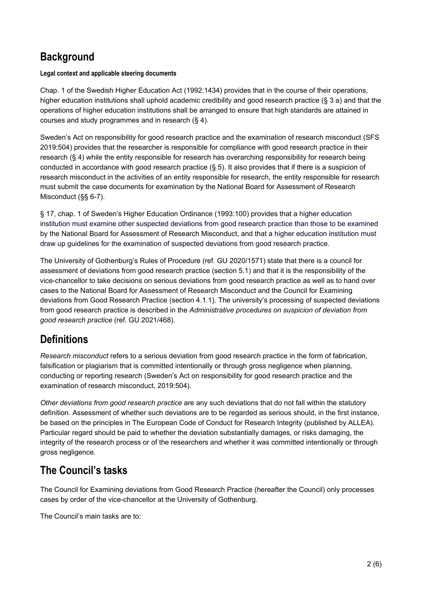# **Background**

### **Legal context and applicable steering documents**

Chap. 1 of the Swedish Higher Education Act (1992:1434) provides that in the course of their operations, higher education institutions shall uphold academic credibility and good research practice (§ 3 a) and that the operations of higher education institutions shall be arranged to ensure that high standards are attained in courses and study programmes and in research (§ 4).

Sweden's Act on responsibility for good research practice and the examination of research misconduct (SFS 2019:504) provides that the researcher is responsible for compliance with good research practice in their research (§ 4) while the entity responsible for research has overarching responsibility for research being conducted in accordance with good research practice (§ 5). It also provides that if there is a suspicion of research misconduct in the activities of an entity responsible for research, the entity responsible for research must submit the case documents for examination by the National Board for Assessment of Research Misconduct (§§ 6-7).

§ 17, chap. 1 of Sweden's Higher Education Ordinance (1993:100) provides that a higher education institution must examine other suspected deviations from good research practice than those to be examined by the National Board for Assessment of Research Misconduct, and that a higher education institution must draw up guidelines for the examination of suspected deviations from good research practice.

The University of Gothenburg's Rules of Procedure (ref. GU 2020/1571) state that there is a council for assessment of deviations from good research practice (section 5.1) and that it is the responsibility of the vice-chancellor to take decisions on serious deviations from good research practice as well as to hand over cases to the National Board for Assessment of Research Misconduct and the Council for Examining deviations from Good Research Practice (section 4.1.1). The university's processing of suspected deviations from good research practice is described in the *Administrative procedures on suspicion of deviation from good research practice* (ref. GU 2021/468).

# **Definitions**

*Research misconduct* refers to a serious deviation from good research practice in the form of fabrication, falsification or plagiarism that is committed intentionally or through gross negligence when planning, conducting or reporting research (Sweden's Act on responsibility for good research practice and the examination of research misconduct, 2019:504).

*Other deviations from good research practice* are any such deviations that do not fall within the statutory definition. Assessment of whether such deviations are to be regarded as serious should, in the first instance, be based on the principles in The European Code of Conduct for Research Integrity (published by ALLEA). Particular regard should be paid to whether the deviation substantially damages, or risks damaging, the integrity of the research process or of the researchers and whether it was committed intentionally or through gross negligence.

# **The Council's tasks**

The Council for Examining deviations from Good Research Practice (hereafter the Council) only processes cases by order of the vice-chancellor at the University of Gothenburg.

The Council's main tasks are to: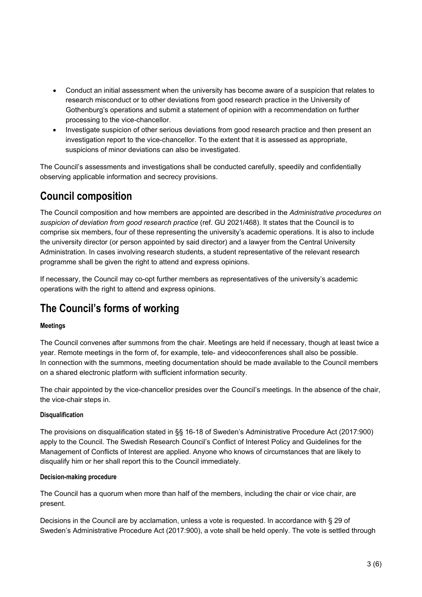- Conduct an initial assessment when the university has become aware of a suspicion that relates to research misconduct or to other deviations from good research practice in the University of Gothenburg's operations and submit a statement of opinion with a recommendation on further processing to the vice-chancellor.
- Investigate suspicion of other serious deviations from good research practice and then present an investigation report to the vice-chancellor. To the extent that it is assessed as appropriate, suspicions of minor deviations can also be investigated.

The Council's assessments and investigations shall be conducted carefully, speedily and confidentially observing applicable information and secrecy provisions.

## **Council composition**

The Council composition and how members are appointed are described in the *Administrative procedures on suspicion of deviation from good research practice* (ref. GU 2021/468). It states that the Council is to comprise six members, four of these representing the university's academic operations. It is also to include the university director (or person appointed by said director) and a lawyer from the Central University Administration. In cases involving research students, a student representative of the relevant research programme shall be given the right to attend and express opinions.

If necessary, the Council may co-opt further members as representatives of the university's academic operations with the right to attend and express opinions.

# **The Council's forms of working**

### **Meetings**

The Council convenes after summons from the chair. Meetings are held if necessary, though at least twice a year. Remote meetings in the form of, for example, tele- and videoconferences shall also be possible. In connection with the summons, meeting documentation should be made available to the Council members on a shared electronic platform with sufficient information security.

The chair appointed by the vice-chancellor presides over the Council's meetings. In the absence of the chair, the vice-chair steps in.

### **Disqualification**

The provisions on disqualification stated in §§ 16-18 of Sweden's Administrative Procedure Act (2017:900) apply to the Council. The Swedish Research Council's Conflict of Interest Policy and Guidelines for the Management of Conflicts of Interest are applied. Anyone who knows of circumstances that are likely to disqualify him or her shall report this to the Council immediately.

### **Decision-making procedure**

The Council has a quorum when more than half of the members, including the chair or vice chair, are present.

Decisions in the Council are by acclamation, unless a vote is requested. In accordance with § 29 of Sweden's Administrative Procedure Act (2017:900), a vote shall be held openly. The vote is settled through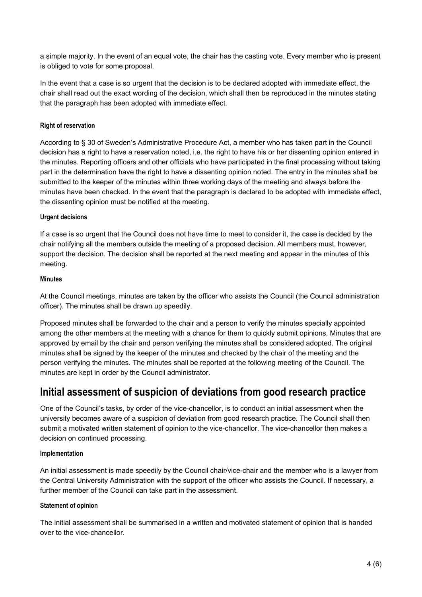a simple majority. In the event of an equal vote, the chair has the casting vote. Every member who is present is obliged to vote for some proposal.

In the event that a case is so urgent that the decision is to be declared adopted with immediate effect, the chair shall read out the exact wording of the decision, which shall then be reproduced in the minutes stating that the paragraph has been adopted with immediate effect.

### **Right of reservation**

According to § 30 of Sweden's Administrative Procedure Act, a member who has taken part in the Council decision has a right to have a reservation noted, i.e. the right to have his or her dissenting opinion entered in the minutes. Reporting officers and other officials who have participated in the final processing without taking part in the determination have the right to have a dissenting opinion noted. The entry in the minutes shall be submitted to the keeper of the minutes within three working days of the meeting and always before the minutes have been checked. In the event that the paragraph is declared to be adopted with immediate effect, the dissenting opinion must be notified at the meeting.

### **Urgent decisions**

If a case is so urgent that the Council does not have time to meet to consider it, the case is decided by the chair notifying all the members outside the meeting of a proposed decision. All members must, however, support the decision. The decision shall be reported at the next meeting and appear in the minutes of this meeting.

### **Minutes**

At the Council meetings, minutes are taken by the officer who assists the Council (the Council administration officer). The minutes shall be drawn up speedily.

Proposed minutes shall be forwarded to the chair and a person to verify the minutes specially appointed among the other members at the meeting with a chance for them to quickly submit opinions. Minutes that are approved by email by the chair and person verifying the minutes shall be considered adopted. The original minutes shall be signed by the keeper of the minutes and checked by the chair of the meeting and the person verifying the minutes. The minutes shall be reported at the following meeting of the Council. The minutes are kept in order by the Council administrator.

### **Initial assessment of suspicion of deviations from good research practice**

One of the Council's tasks, by order of the vice-chancellor, is to conduct an initial assessment when the university becomes aware of a suspicion of deviation from good research practice. The Council shall then submit a motivated written statement of opinion to the vice-chancellor. The vice-chancellor then makes a decision on continued processing.

### **Implementation**

An initial assessment is made speedily by the Council chair/vice-chair and the member who is a lawyer from the Central University Administration with the support of the officer who assists the Council. If necessary, a further member of the Council can take part in the assessment.

### **Statement of opinion**

The initial assessment shall be summarised in a written and motivated statement of opinion that is handed over to the vice-chancellor.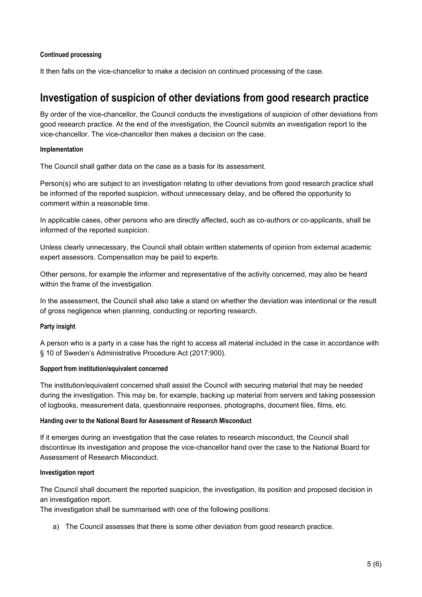#### **Continued processing**

It then falls on the vice-chancellor to make a decision on continued processing of the case.

### **Investigation of suspicion of other deviations from good research practice**

By order of the vice-chancellor, the Council conducts the investigations of suspicion of other deviations from good research practice. At the end of the investigation, the Council submits an investigation report to the vice-chancellor. The vice-chancellor then makes a decision on the case.

#### **Implementation**

The Council shall gather data on the case as a basis for its assessment.

Person(s) who are subject to an investigation relating to other deviations from good research practice shall be informed of the reported suspicion, without unnecessary delay, and be offered the opportunity to comment within a reasonable time.

In applicable cases, other persons who are directly affected, such as co-authors or co-applicants, shall be informed of the reported suspicion.

Unless clearly unnecessary, the Council shall obtain written statements of opinion from external academic expert assessors. Compensation may be paid to experts.

Other persons, for example the informer and representative of the activity concerned, may also be heard within the frame of the investigation.

In the assessment, the Council shall also take a stand on whether the deviation was intentional or the result of gross negligence when planning, conducting or reporting research.

### **Party insight**

A person who is a party in a case has the right to access all material included in the case in accordance with § 10 of Sweden's Administrative Procedure Act (2017:900).

### **Support from institution/equivalent concerned**

The institution/equivalent concerned shall assist the Council with securing material that may be needed during the investigation. This may be, for example, backing up material from servers and taking possession of logbooks, measurement data, questionnaire responses, photographs, document files, films, etc.

### **Handing over to the National Board for Assessment of Research Misconduct**

If it emerges during an investigation that the case relates to research misconduct, the Council shall discontinue its investigation and propose the vice-chancellor hand over the case to the National Board for Assessment of Research Misconduct.

### **Investigation report**

The Council shall document the reported suspicion, the investigation, its position and proposed decision in an investigation report.

The investigation shall be summarised with one of the following positions:

a) The Council assesses that there is some other deviation from good research practice.